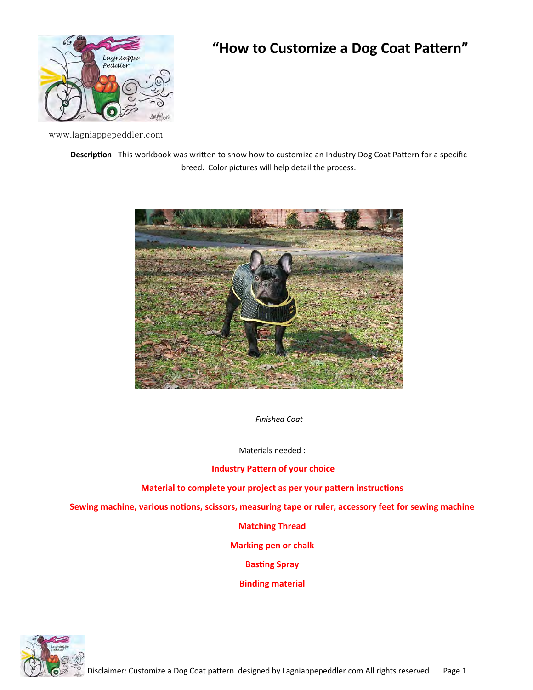

## "How to Customize a Dog Coat Pattern"

www.lagniappepeddler.com

**Description:** This workbook was written to show how to customize an Industry Dog Coat Pattern for a specific breed. Color pictures will help detail the process.



*Finished Coat* 

Materials needed :

## **Industry Pattern of your choice**

**Material to complete your project as per your pattern instructions** 

Sewing machine, various notions, scissors, measuring tape or ruler, accessory feet for sewing machine

## **Matching Thread**

**Marking pen or chalk** 

**Basting Spray** 

**Binding material** 

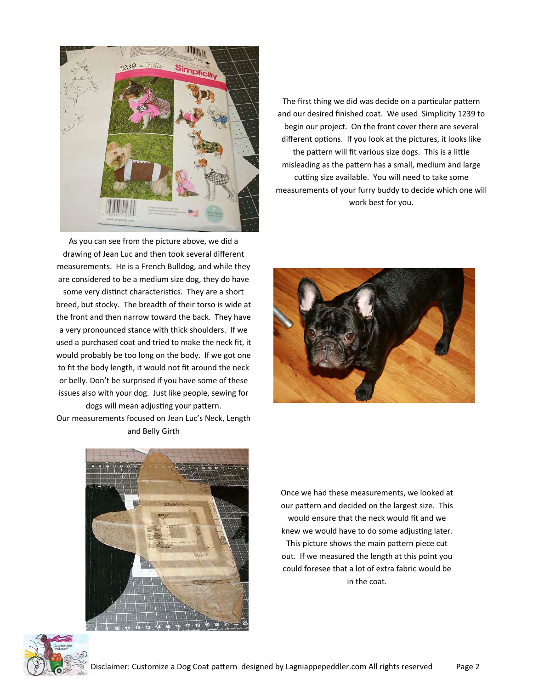

As you can see from the picture above, we did a drawing of Jean Luc and then took several different measurements. He is a French Bulldog, and while they are considered to be a medium size dog, they do have some very distinct characteristics. They are a short breed, but stocky. The breadth of their torso is wide at the front and then narrow toward the back. They have a very pronounced stance with thick shoulders. If we used a purchased coat and tried to make the neck fit, it would probably be too long on the body. If we got one to fit the body length, it would not fit around the neck or belly. Don't be surprised if you have some of these issues also with your dog. Just like people, sewing for

dogs will mean adjusting your pattern. Our measurements focused on Jean Luc's Neck, Length and Belly Girth

The first thing we did was decide on a particular pattern and our desired finished coat. We used Simplicity 1239 to begin our project. On the front cover there are several different options. If you look at the pictures, it looks like the pattern will fit various size dogs. This is a little misleading as the pattern has a small, medium and large cutting size available. You will need to take some measurements of your furry buddy to decide which one will work best for you.





Once we had these measurements, we looked at our pattern and decided on the largest size. This would ensure that the neck would fit and we knew we would have to do some adjusting later. This picture shows the main pattern piece cut out. If we measured the length at this point you could foresee that a lot of extra fabric would be in the coat.

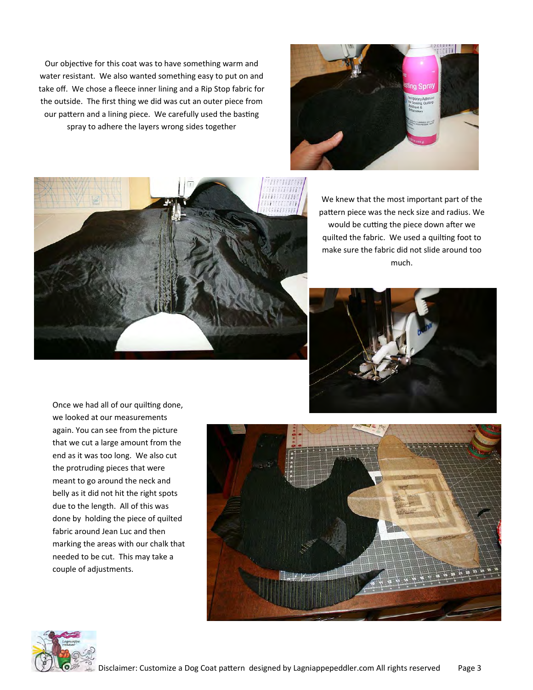Our objective for this coat was to have something warm and water resistant. We also wanted something easy to put on and take off. We chose a fleece inner lining and a Rip Stop fabric for the outside. The first thing we did was cut an outer piece from our pattern and a lining piece. We carefully used the basting spray to adhere the layers wrong sides together





We knew that the most important part of the pattern piece was the neck size and radius. We would be cutting the piece down after we quilted the fabric. We used a quilting foot to make sure the fabric did not slide around too much.



Once we had all of our quilting done, we looked at our measurements again. You can see from the picture that we cut a large amount from the end as it was too long. We also cut the protruding pieces that were meant to go around the neck and belly as it did not hit the right spots due to the length. All of this was done by holding the piece of quilted fabric around Jean Luc and then marking the areas with our chalk that needed to be cut. This may take a couple of adjustments.



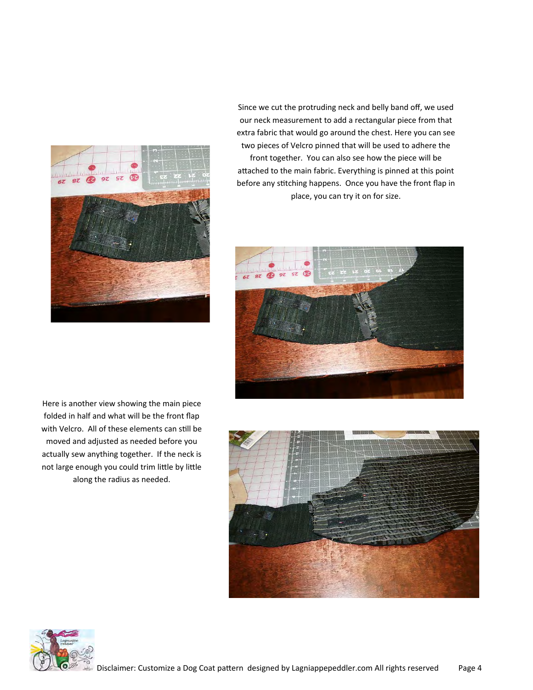

Since we cut the protruding neck and belly band off, we used our neck measurement to add a rectangular piece from that extra fabric that would go around the chest. Here you can see two pieces of Velcro pinned that will be used to adhere the front together. You can also see how the piece will be attached to the main fabric. Everything is pinned at this point before any stitching happens. Once you have the front flap in place, you can try it on for size.



Here is another view showing the main piece folded in half and what will be the front flap with Velcro. All of these elements can still be moved and adjusted as needed before you actually sew anything together. If the neck is not large enough you could trim little by little along the radius as needed.



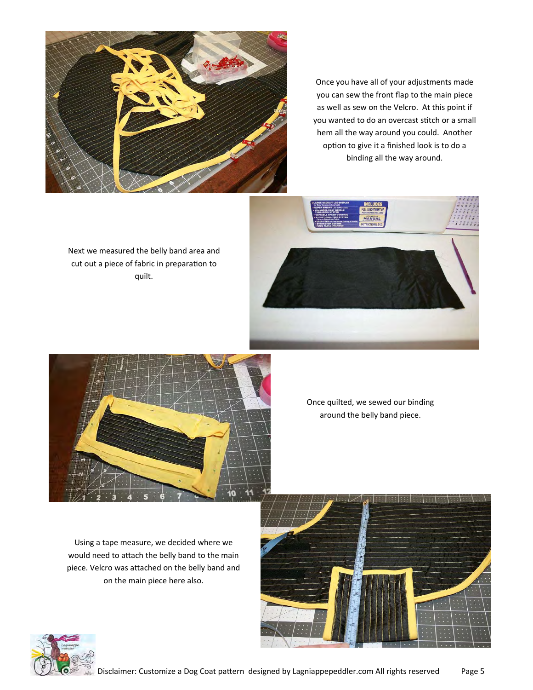

Once you have all of your adjustments made you can sew the front flap to the main piece as well as sew on the Velcro. At this point if you wanted to do an overcast stitch or a small hem all the way around you could. Another option to give it a finished look is to do a binding all the way around.

Next we measured the belly band area and cut out a piece of fabric in preparation to quilt.





Once quilted, we sewed our binding around the belly band piece.

Using a tape measure, we decided where we would need to attach the belly band to the main piece. Velcro was attached on the belly band and on the main piece here also.